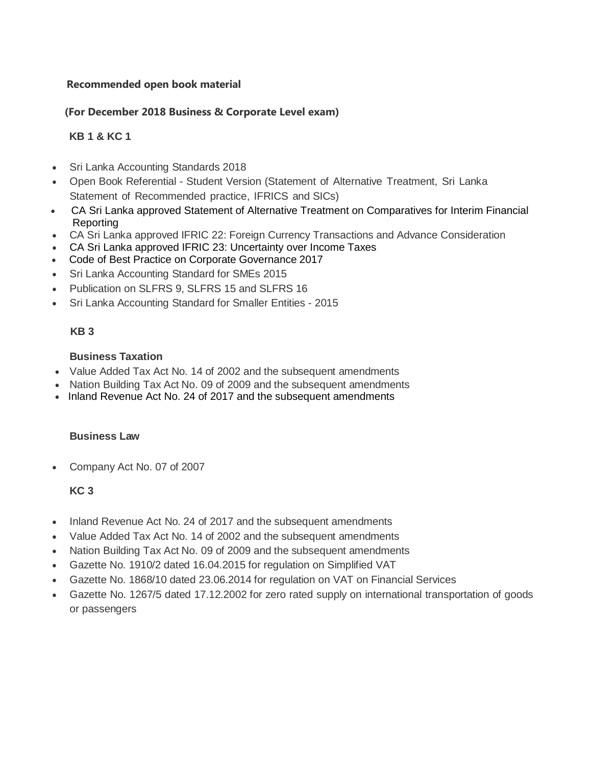#### **Recommended open book material**

### **(For December 2018 Business & Corporate Level exam)**

## **KB 1 & KC 1**

- Sri Lanka Accounting Standards 2018
- Open Book Referential Student Version (Statement of Alternative Treatment, Sri Lanka Statement of Recommended practice, IFRICS and SICs)
- CA Sri Lanka approved Statement of Alternative Treatment on Comparatives for Interim Financial Reporting
- CA Sri Lanka approved IFRIC 22: Foreign Currency Transactions and Advance Consideration
- CA Sri Lanka approved IFRIC 23: Uncertainty over Income Taxes
- Code of Best Practice on Corporate Governance 2017
- Sri Lanka Accounting Standard for SMEs 2015
- Publication on SLFRS 9, SLFRS 15 and SLFRS 16
- Sri Lanka Accounting Standard for Smaller Entities 2015

#### **KB 3**

## **Business Taxation**

- Value Added Tax Act No. 14 of 2002 and the subsequent amendments
- Nation Building Tax Act No. 09 of 2009 and the subsequent amendments
- Inland Revenue Act No. 24 of 2017 and the subsequent amendments

#### **Business Law**

Company Act No. 07 of 2007

# **KC 3**

- Inland Revenue Act No. 24 of 2017 and the subsequent amendments
- Value Added Tax Act No. 14 of 2002 and the subsequent amendments
- Nation Building Tax Act No. 09 of 2009 and the subsequent amendments
- Gazette No. 1910/2 dated 16.04.2015 for regulation on Simplified VAT
- Gazette No. 1868/10 dated 23.06.2014 for regulation on VAT on Financial Services
- Gazette No. 1267/5 dated 17.12.2002 for zero rated supply on international transportation of goods or passengers